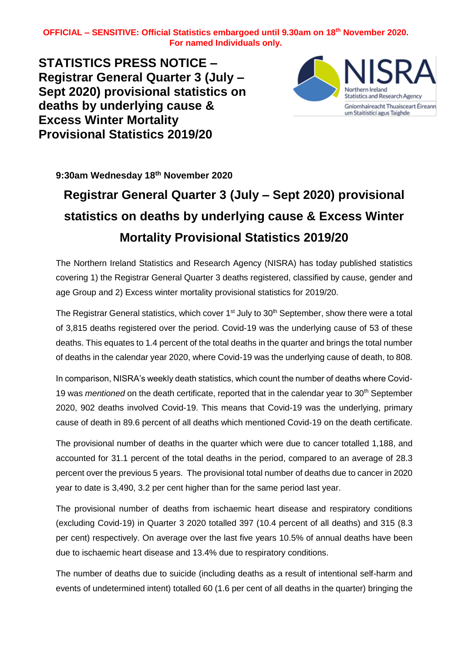**STATISTICS PRESS NOTICE – Registrar General Quarter 3 (July – Sept 2020) provisional statistics on deaths by underlying cause & Excess Winter Mortality Provisional Statistics 2019/20**



**9:30am Wednesday 18 th November 2020**

# **Registrar General Quarter 3 (July – Sept 2020) provisional statistics on deaths by underlying cause & Excess Winter Mortality Provisional Statistics 2019/20**

The Northern Ireland Statistics and Research Agency (NISRA) has today published statistics covering 1) the Registrar General Quarter 3 deaths registered, classified by cause, gender and age Group and 2) Excess winter mortality provisional statistics for 2019/20.

The Registrar General statistics, which cover 1<sup>st</sup> July to 30<sup>th</sup> September, show there were a total of 3,815 deaths registered over the period. Covid-19 was the underlying cause of 53 of these deaths. This equates to 1.4 percent of the total deaths in the quarter and brings the total number of deaths in the calendar year 2020, where Covid-19 was the underlying cause of death, to 808.

In comparison, NISRA's weekly death statistics, which count the number of deaths where Covid-19 was *mentioned* on the death certificate, reported that in the calendar year to 30<sup>th</sup> September 2020, 902 deaths involved Covid-19. This means that Covid-19 was the underlying, primary cause of death in 89.6 percent of all deaths which mentioned Covid-19 on the death certificate.

The provisional number of deaths in the quarter which were due to cancer totalled 1,188, and accounted for 31.1 percent of the total deaths in the period, compared to an average of 28.3 percent over the previous 5 years. The provisional total number of deaths due to cancer in 2020 year to date is 3,490, 3.2 per cent higher than for the same period last year.

The provisional number of deaths from ischaemic heart disease and respiratory conditions (excluding Covid-19) in Quarter 3 2020 totalled 397 (10.4 percent of all deaths) and 315 (8.3 per cent) respectively. On average over the last five years 10.5% of annual deaths have been due to ischaemic heart disease and 13.4% due to respiratory conditions.

The number of deaths due to suicide (including deaths as a result of intentional self-harm and events of undetermined intent) totalled 60 (1.6 per cent of all deaths in the quarter) bringing the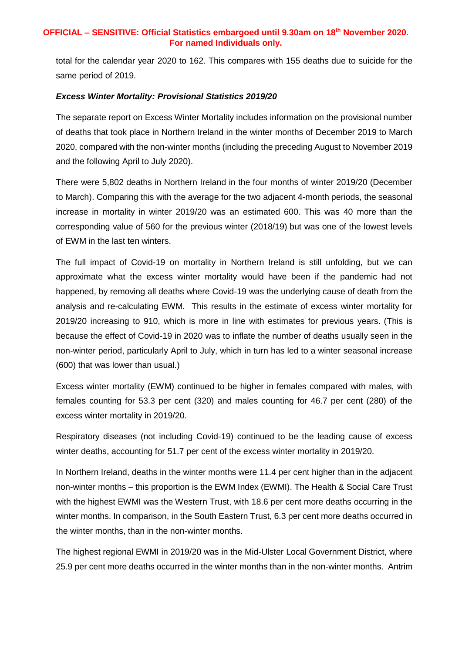total for the calendar year 2020 to 162. This compares with 155 deaths due to suicide for the same period of 2019.

#### *Excess Winter Mortality: Provisional Statistics 2019/20*

The separate report on Excess Winter Mortality includes information on the provisional number of deaths that took place in Northern Ireland in the winter months of December 2019 to March 2020, compared with the non-winter months (including the preceding August to November 2019 and the following April to July 2020).

There were 5,802 deaths in Northern Ireland in the four months of winter 2019/20 (December to March). Comparing this with the average for the two adjacent 4-month periods, the seasonal increase in mortality in winter 2019/20 was an estimated 600. This was 40 more than the corresponding value of 560 for the previous winter (2018/19) but was one of the lowest levels of EWM in the last ten winters.

The full impact of Covid-19 on mortality in Northern Ireland is still unfolding, but we can approximate what the excess winter mortality would have been if the pandemic had not happened, by removing all deaths where Covid-19 was the underlying cause of death from the analysis and re-calculating EWM. This results in the estimate of excess winter mortality for 2019/20 increasing to 910, which is more in line with estimates for previous years. (This is because the effect of Covid-19 in 2020 was to inflate the number of deaths usually seen in the non-winter period, particularly April to July, which in turn has led to a winter seasonal increase (600) that was lower than usual.)

Excess winter mortality (EWM) continued to be higher in females compared with males, with females counting for 53.3 per cent (320) and males counting for 46.7 per cent (280) of the excess winter mortality in 2019/20.

Respiratory diseases (not including Covid-19) continued to be the leading cause of excess winter deaths, accounting for 51.7 per cent of the excess winter mortality in 2019/20.

In Northern Ireland, deaths in the winter months were 11.4 per cent higher than in the adjacent non-winter months – this proportion is the EWM Index (EWMI). The Health & Social Care Trust with the highest EWMI was the Western Trust, with 18.6 per cent more deaths occurring in the winter months. In comparison, in the South Eastern Trust, 6.3 per cent more deaths occurred in the winter months, than in the non-winter months.

The highest regional EWMI in 2019/20 was in the Mid-Ulster Local Government District, where 25.9 per cent more deaths occurred in the winter months than in the non-winter months. Antrim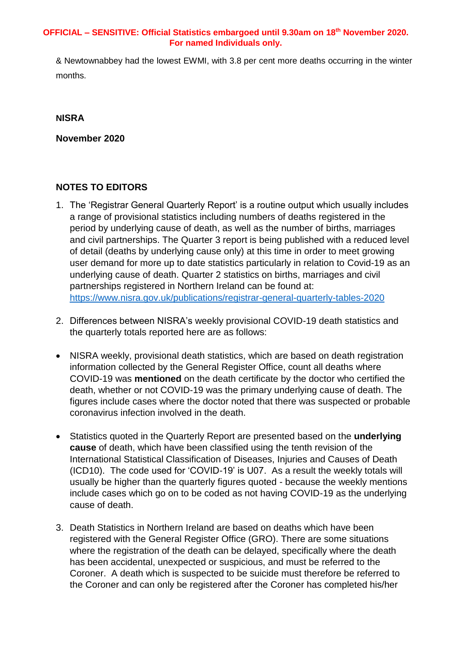& Newtownabbey had the lowest EWMI, with 3.8 per cent more deaths occurring in the winter months.

### **NISRA**

**November 2020**

## **NOTES TO EDITORS**

- 1. The 'Registrar General Quarterly Report' is a routine output which usually includes a range of provisional statistics including numbers of deaths registered in the period by underlying cause of death, as well as the number of births, marriages and civil partnerships. The Quarter 3 report is being published with a reduced level of detail (deaths by underlying cause only) at this time in order to meet growing user demand for more up to date statistics particularly in relation to Covid-19 as an underlying cause of death. Quarter 2 statistics on births, marriages and civil partnerships registered in Northern Ireland can be found at: <https://www.nisra.gov.uk/publications/registrar-general-quarterly-tables-2020>
- 2. Differences between NISRA's weekly provisional COVID-19 death statistics and the quarterly totals reported here are as follows:
- NISRA weekly, provisional death statistics, which are based on death registration information collected by the General Register Office, count all deaths where COVID-19 was **mentioned** on the death certificate by the doctor who certified the death, whether or not COVID-19 was the primary underlying cause of death. The figures include cases where the doctor noted that there was suspected or probable coronavirus infection involved in the death.
- Statistics quoted in the Quarterly Report are presented based on the **underlying cause** of death, which have been classified using the tenth revision of the International Statistical Classification of Diseases, Injuries and Causes of Death (ICD10). The code used for 'COVID-19' is U07. As a result the weekly totals will usually be higher than the quarterly figures quoted - because the weekly mentions include cases which go on to be coded as not having COVID-19 as the underlying cause of death.
- 3. Death Statistics in Northern Ireland are based on deaths which have been registered with the General Register Office (GRO). There are some situations where the registration of the death can be delayed, specifically where the death has been accidental, unexpected or suspicious, and must be referred to the Coroner. A death which is suspected to be suicide must therefore be referred to the Coroner and can only be registered after the Coroner has completed his/her